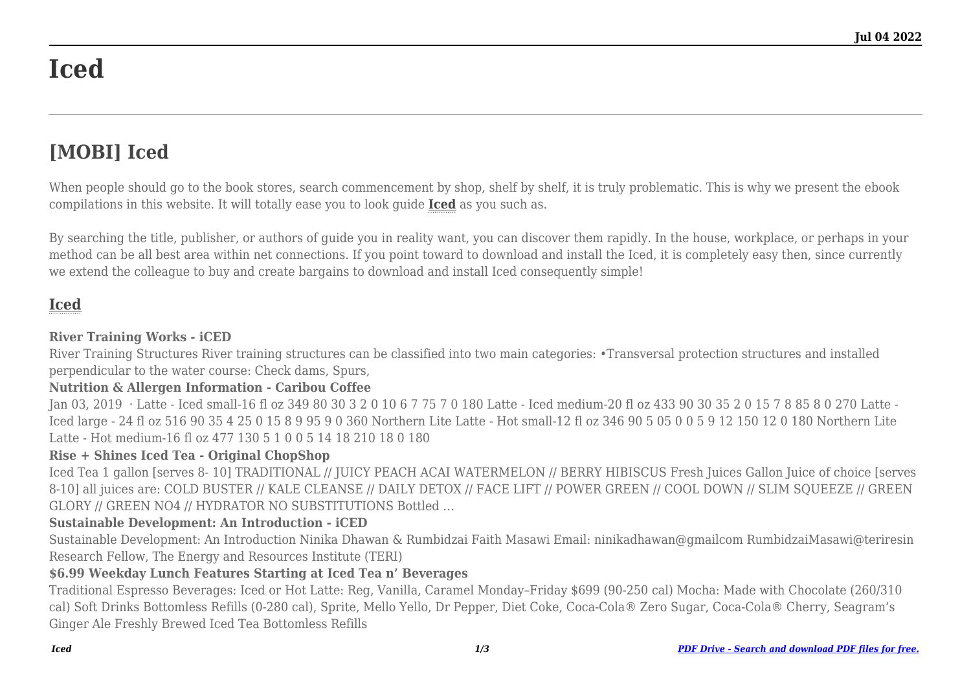# **Iced**

## **[MOBI] Iced**

When people should go to the book stores, search commencement by shop, shelf by shelf, it is truly problematic. This is why we present the ebook compilations in this website. It will totally ease you to look guide **[Iced](http://goldwoodgardens.com)** as you such as.

By searching the title, publisher, or authors of guide you in reality want, you can discover them rapidly. In the house, workplace, or perhaps in your method can be all best area within net connections. If you point toward to download and install the Iced, it is completely easy then, since currently we extend the colleague to buy and create bargains to download and install Iced consequently simple!

### **[Iced](http://goldwoodgardens.com/Iced.pdf)**

#### **River Training Works - iCED**

River Training Structures River training structures can be classified into two main categories: •Transversal protection structures and installed perpendicular to the water course: Check dams, Spurs,

#### **Nutrition & Allergen Information - Caribou Coffee**

Jan 03, 2019 · Latte - Iced small-16 fl oz 349 80 30 3 2 0 10 6 7 75 7 0 180 Latte - Iced medium-20 fl oz 433 90 30 35 2 0 15 7 8 85 8 0 270 Latte - Iced large - 24 fl oz 516 90 35 4 25 0 15 8 9 95 9 0 360 Northern Lite Latte - Hot small-12 fl oz 346 90 5 05 0 0 5 9 12 150 12 0 180 Northern Lite Latte - Hot medium-16 fl oz 477 130 5 1 0 0 5 14 18 210 18 0 180

#### **Rise + Shines Iced Tea - Original ChopShop**

Iced Tea 1 gallon [serves 8- 10] TRADITIONAL // JUICY PEACH ACAI WATERMELON // BERRY HIBISCUS Fresh Juices Gallon Juice of choice [serves 8-10] all juices are: COLD BUSTER // KALE CLEANSE // DAILY DETOX // FACE LIFT // POWER GREEN // COOL DOWN // SLIM SQUEEZE // GREEN GLORY // GREEN NO4 // HYDRATOR NO SUBSTITUTIONS Bottled …

#### **Sustainable Development: An Introduction - iCED**

Sustainable Development: An Introduction Ninika Dhawan & Rumbidzai Faith Masawi Email: ninikadhawan@gmailcom RumbidzaiMasawi@teriresin Research Fellow, The Energy and Resources Institute (TERI)

#### **\$6.99 Weekday Lunch Features Starting at Iced Tea n' Beverages**

Traditional Espresso Beverages: Iced or Hot Latte: Reg, Vanilla, Caramel Monday–Friday \$699 (90-250 cal) Mocha: Made with Chocolate (260/310 cal) Soft Drinks Bottomless Refills (0-280 cal), Sprite, Mello Yello, Dr Pepper, Diet Coke, Coca-Cola® Zero Sugar, Coca-Cola® Cherry, Seagram's Ginger Ale Freshly Brewed Iced Tea Bottomless Refills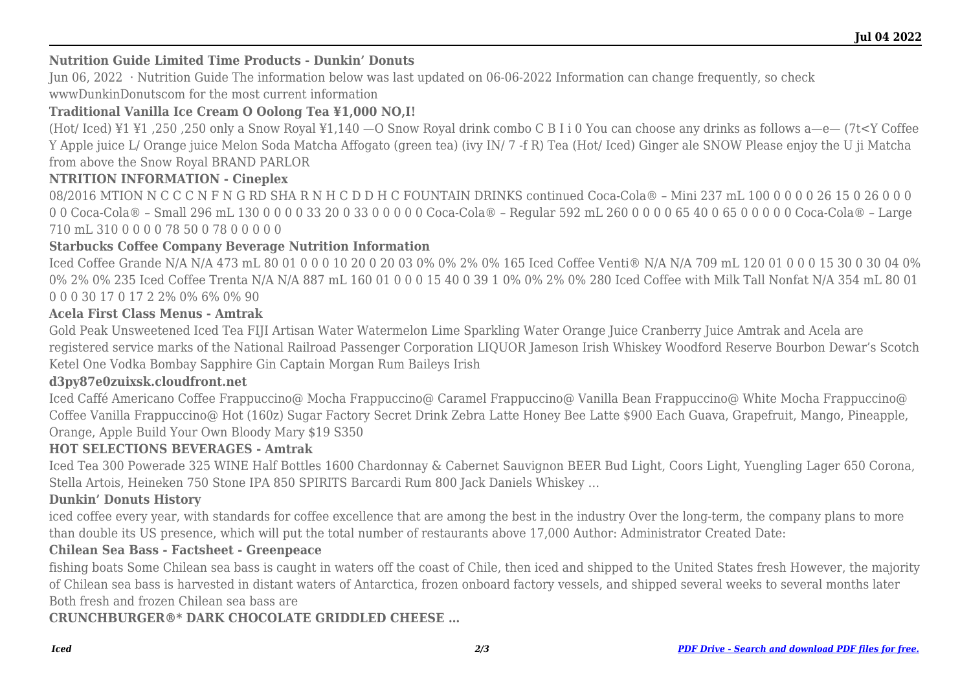#### **Nutrition Guide Limited Time Products - Dunkin' Donuts**

Jun 06, 2022 · Nutrition Guide The information below was last updated on 06-06-2022 Information can change frequently, so check wwwDunkinDonutscom for the most current information

#### **Traditional Vanilla Ice Cream O Oolong Tea ¥1,000 NO,I!**

(Hot/ Iced) ¥1 ¥1 ,250 ,250 only a Snow Royal ¥1,140 —O Snow Royal drink combo C B I i 0 You can choose any drinks as follows a—e— (7t<Y Coffee Y Apple juice L/ Orange juice Melon Soda Matcha Affogato (green tea) (ivy IN/ 7 -f R) Tea (Hot/ Iced) Ginger ale SNOW Please enjoy the U ji Matcha from above the Snow Royal BRAND PARLOR

#### **NTRITION INFORMATION - Cineplex**

08/2016 MTION N C C C N F N G RD SHA R N H C D D H C FOUNTAIN DRINKS continued Coca-Cola® – Mini 237 mL 100 0 0 0 0 26 15 0 26 0 0 0 0 0 Coca-Cola® – Small 296 mL 130 0 0 0 0 33 20 0 33 0 0 0 0 0 Coca-Cola® – Regular 592 mL 260 0 0 0 0 65 40 0 65 0 0 0 0 0 Coca-Cola® – Large 710 mL 310 0 0 0 0 78 50 0 78 0 0 0 0 0

#### **Starbucks Coffee Company Beverage Nutrition Information**

Iced Coffee Grande N/A N/A 473 mL 80 01 0 0 0 10 20 0 20 03 0% 0% 2% 0% 165 Iced Coffee Venti® N/A N/A 709 mL 120 01 0 0 0 15 30 0 30 04 0% 0% 2% 0% 235 Iced Coffee Trenta N/A N/A 887 mL 160 01 0 0 0 15 40 0 39 1 0% 0% 2% 0% 280 Iced Coffee with Milk Tall Nonfat N/A 354 mL 80 01 0 0 0 30 17 0 17 2 2% 0% 6% 0% 90

#### **Acela First Class Menus - Amtrak**

Gold Peak Unsweetened Iced Tea FIJI Artisan Water Watermelon Lime Sparkling Water Orange Juice Cranberry Juice Amtrak and Acela are registered service marks of the National Railroad Passenger Corporation LIQUOR Jameson Irish Whiskey Woodford Reserve Bourbon Dewar's Scotch Ketel One Vodka Bombay Sapphire Gin Captain Morgan Rum Baileys Irish

#### **d3py87e0zuixsk.cloudfront.net**

Iced Caffé Americano Coffee Frappuccino@ Mocha Frappuccino@ Caramel Frappuccino@ Vanilla Bean Frappuccino@ White Mocha Frappuccino@ Coffee Vanilla Frappuccino@ Hot (160z) Sugar Factory Secret Drink Zebra Latte Honey Bee Latte \$900 Each Guava, Grapefruit, Mango, Pineapple, Orange, Apple Build Your Own Bloody Mary \$19 S350

#### **HOT SELECTIONS BEVERAGES - Amtrak**

Iced Tea 300 Powerade 325 WINE Half Bottles 1600 Chardonnay & Cabernet Sauvignon BEER Bud Light, Coors Light, Yuengling Lager 650 Corona, Stella Artois, Heineken 750 Stone IPA 850 SPIRITS Barcardi Rum 800 Jack Daniels Whiskey …

#### **Dunkin' Donuts History**

iced coffee every year, with standards for coffee excellence that are among the best in the industry Over the long-term, the company plans to more than double its US presence, which will put the total number of restaurants above 17,000 Author: Administrator Created Date:

#### **Chilean Sea Bass - Factsheet - Greenpeace**

fishing boats Some Chilean sea bass is caught in waters off the coast of Chile, then iced and shipped to the United States fresh However, the majority of Chilean sea bass is harvested in distant waters of Antarctica, frozen onboard factory vessels, and shipped several weeks to several months later Both fresh and frozen Chilean sea bass are

#### **CRUNCHBURGER®\* DARK CHOCOLATE GRIDDLED CHEESE …**